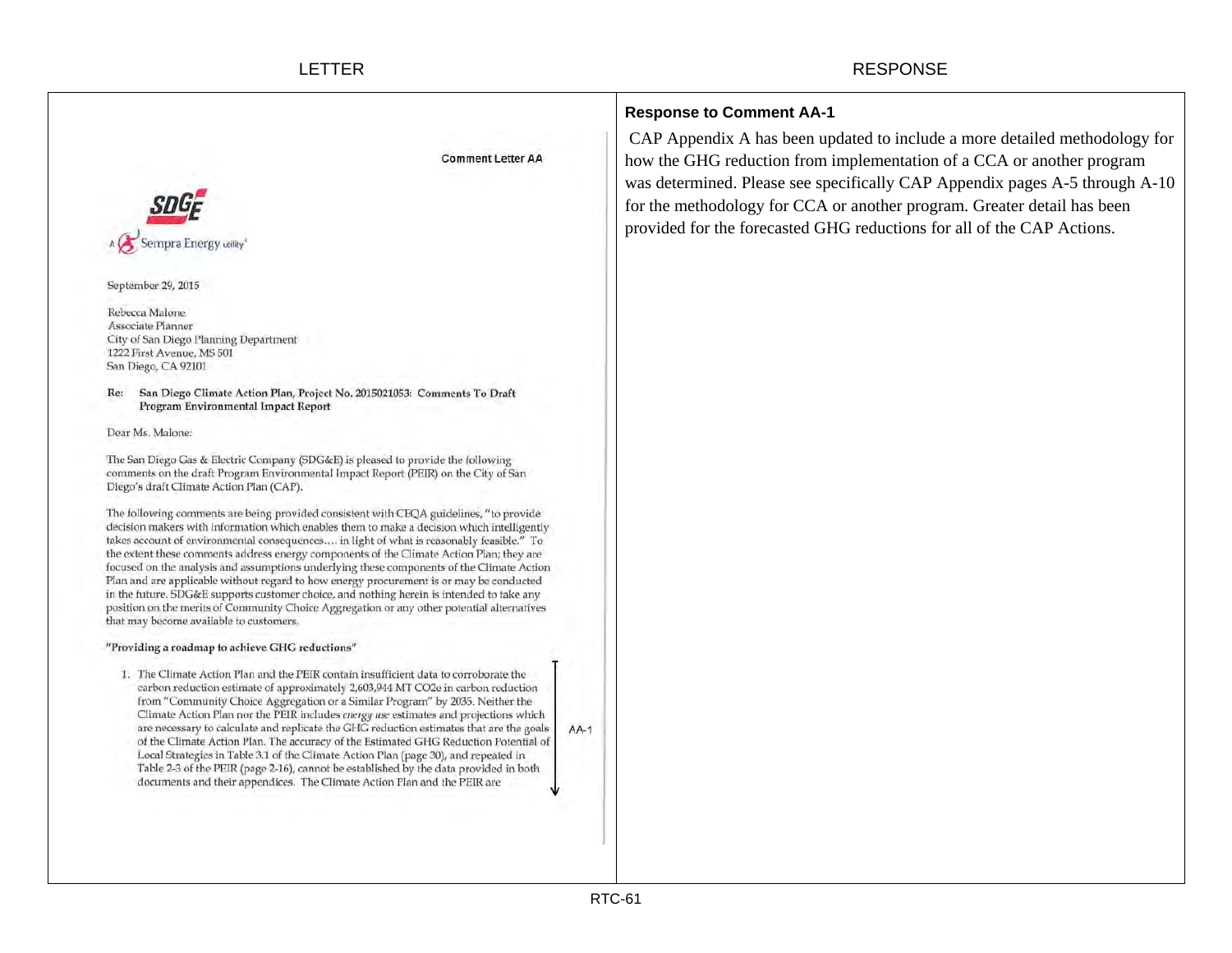| <b>Comment Letter AA</b>                                                                                                                                                                                                                                                                                                                                                                                                                                                                                                                                                                                                                                                                                                                                                                                                                                                                                                                                                                                                                                                                                                                                                                                                                                                                                                                                                                                                                                                                                                                                                                                                                                                                                                                                                                                                                                                                                                                                                                                                                                                                                                                                                                                   | <b>Response to Comment AA-1</b><br>CAP Appendix A has been updated to include a more detailed methodology for<br>how the GHG reduction from implementation of a CCA or another program<br>was determined. Please see specifically CAP Appendix pages A-5 through A-10<br>for the methodology for CCA or another program. Greater detail has been<br>provided for the forecasted GHG reductions for all of the CAP Actions. |
|------------------------------------------------------------------------------------------------------------------------------------------------------------------------------------------------------------------------------------------------------------------------------------------------------------------------------------------------------------------------------------------------------------------------------------------------------------------------------------------------------------------------------------------------------------------------------------------------------------------------------------------------------------------------------------------------------------------------------------------------------------------------------------------------------------------------------------------------------------------------------------------------------------------------------------------------------------------------------------------------------------------------------------------------------------------------------------------------------------------------------------------------------------------------------------------------------------------------------------------------------------------------------------------------------------------------------------------------------------------------------------------------------------------------------------------------------------------------------------------------------------------------------------------------------------------------------------------------------------------------------------------------------------------------------------------------------------------------------------------------------------------------------------------------------------------------------------------------------------------------------------------------------------------------------------------------------------------------------------------------------------------------------------------------------------------------------------------------------------------------------------------------------------------------------------------------------------|----------------------------------------------------------------------------------------------------------------------------------------------------------------------------------------------------------------------------------------------------------------------------------------------------------------------------------------------------------------------------------------------------------------------------|
| September 29, 2015<br>Rebecca Malone<br>Associate Planner<br>City of San Diego Planning Department<br>1222 First Avenue, MS 501<br>San Diego, CA 92101<br>San Diego Climate Action Plan, Project No. 2015021053: Comments To Draft<br>Re:<br>Program Environmental Impact Report<br>Dear Ms. Malone:<br>The San Diego Gas & Electric Company (SDG&E) is pleased to provide the following<br>comments on the draft Program Environmental Impact Report (PEIR) on the City of San<br>Diego's draft Climate Action Plan (CAP).<br>The following comments are being provided consistent with CEQA guidelines, "to provide<br>decision makers with information which enables them to make a decision which intelligently<br>takes account of environmental consequences in light of what is reasonably feasible." To<br>the extent these comments address energy components of the Climate Action Plan; they are<br>focused on the analysis and assumptions underlying these components of the Climate Action<br>Plan and are applicable without regard to how energy procurement is or may be conducted<br>in the future. SDG&E supports customer choice, and nothing herein is intended to take any<br>position on the merits of Community Choice Aggregation or any other potential alternatives<br>that may become available to customers.<br>"Providing a roadmap to achieve GHG reductions"<br>1. The Climate Action Plan and the PEIR contain insufficient data to corroborate the<br>carbon reduction estimate of approximately 2,603,944 MT CO2e in carbon reduction<br>from "Community Choice Aggregation or a Similar Program" by 2035. Neither the<br>Climate Action Plan nor the PEIR includes energy use estimates and projections which<br>are necessary to calculate and replicate the GHG reduction estimates that are the goals<br>$AA-1$<br>of the Climate Action Plan. The accuracy of the Estimated GHG Reduction Potential of<br>Local Strategies in Table 3.1 of the Climate Action Plan (page 30), and repeated in<br>Table 2-3 of the PEIR (page 2-16), cannot be established by the data provided in both<br>documents and their appendices. The Climate Action Plan and the PEIR are |                                                                                                                                                                                                                                                                                                                                                                                                                            |
| RTC-61                                                                                                                                                                                                                                                                                                                                                                                                                                                                                                                                                                                                                                                                                                                                                                                                                                                                                                                                                                                                                                                                                                                                                                                                                                                                                                                                                                                                                                                                                                                                                                                                                                                                                                                                                                                                                                                                                                                                                                                                                                                                                                                                                                                                     |                                                                                                                                                                                                                                                                                                                                                                                                                            |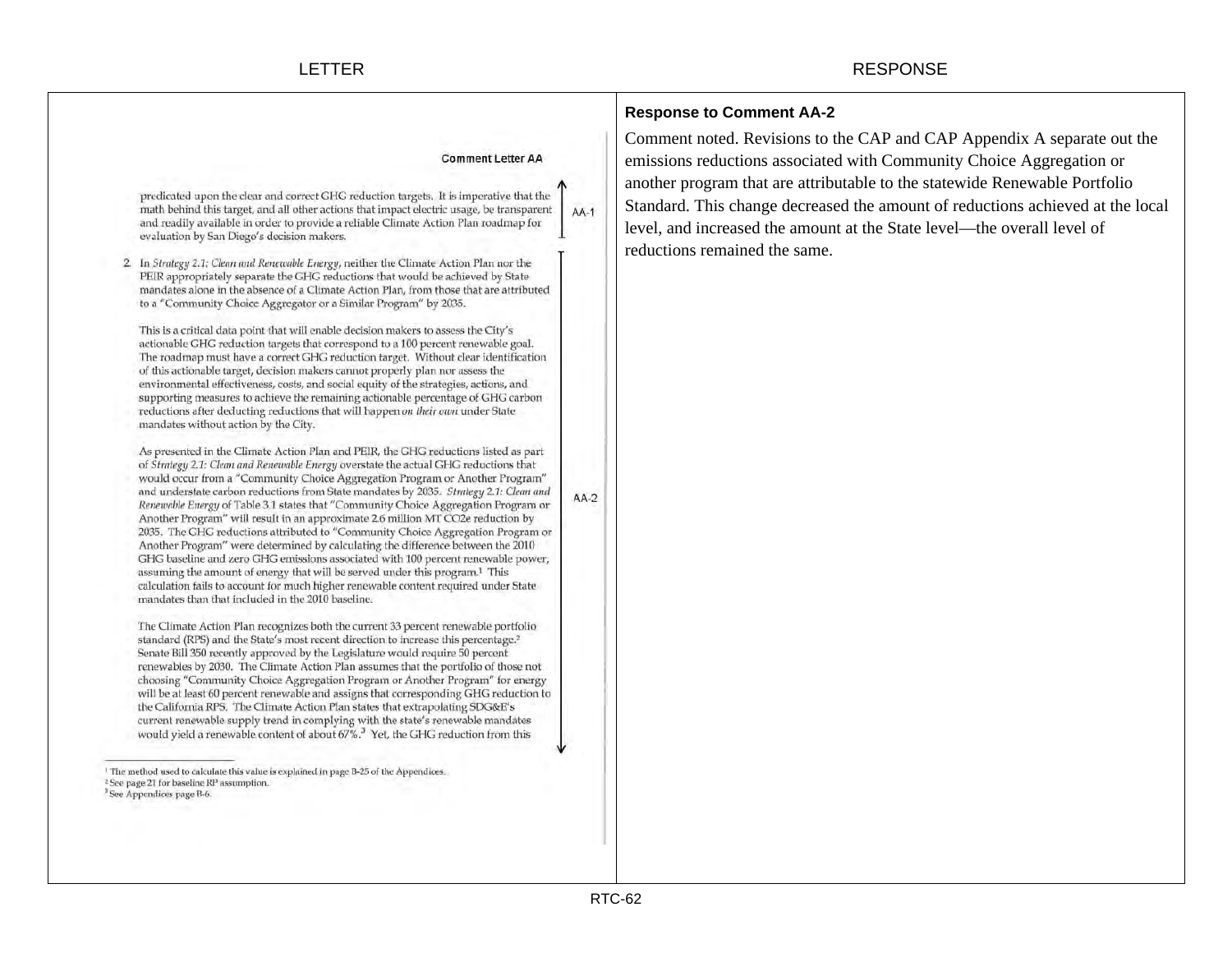|                                                                                                                                                                                                                                                                                                                                                                                                                                                                                                                                                                                                                                                                                                                                                                                                                                                                                                                                                                                                                                                                                                                                                                                                                                                                                                                                        |        | <b>Response to Comment AA-2</b>                                                                                                                                                                                                                                                                                                                                                                                             |
|----------------------------------------------------------------------------------------------------------------------------------------------------------------------------------------------------------------------------------------------------------------------------------------------------------------------------------------------------------------------------------------------------------------------------------------------------------------------------------------------------------------------------------------------------------------------------------------------------------------------------------------------------------------------------------------------------------------------------------------------------------------------------------------------------------------------------------------------------------------------------------------------------------------------------------------------------------------------------------------------------------------------------------------------------------------------------------------------------------------------------------------------------------------------------------------------------------------------------------------------------------------------------------------------------------------------------------------|--------|-----------------------------------------------------------------------------------------------------------------------------------------------------------------------------------------------------------------------------------------------------------------------------------------------------------------------------------------------------------------------------------------------------------------------------|
| <b>Comment Letter AA</b><br>predicated upon the clear and correct GHG reduction targets. It is imperative that the<br>math behind this target, and all other actions that impact electric usage, be transparent<br>and readily available in order to provide a reliable Climate Action Plan roadmap for<br>evaluation by San Diego's decision makers.<br>In Strategy 2.1: Clean and Renewable Energy, neither the Climate Action Plan nor the<br>2.<br>PEIR appropriately separate the GHG reductions that would be achieved by State<br>mandates alone in the absence of a Climate Action Plan, from those that are attributed<br>to a "Community Choice Aggregator or a Similar Program" by 2035.<br>This is a critical data point that will enable decision makers to assess the City's<br>actionable GHG reduction targets that correspond to a 100 percent renewable goal.<br>The roadmap must have a correct GHG reduction target. Without clear identification<br>of this actionable target, decision makers cannot properly plan nor assess the                                                                                                                                                                                                                                                                                | $AA-1$ | Comment noted. Revisions to the CAP and CAP Appendix A separate out the<br>emissions reductions associated with Community Choice Aggregation or<br>another program that are attributable to the statewide Renewable Portfolio<br>Standard. This change decreased the amount of reductions achieved at the local<br>level, and increased the amount at the State level-the overall level of<br>reductions remained the same. |
| environmental effectiveness, costs, and social equity of the strategies, actions, and<br>supporting measures to achieve the remaining actionable percentage of GHG carbon<br>reductions after deducting reductions that will happen on their own under State<br>mandates without action by the City.<br>As presented in the Climate Action Plan and PEIR, the GHG reductions listed as part<br>of Strategy 2.1: Clean and Renewable Energy overstate the actual GHG reductions that<br>would occur from a "Community Choice Aggregation Program or Another Program"<br>and understate carbon reductions from State mandates by 2035. Strategy 2.1: Clean and<br>Renewable Energy of Table 3.1 states that "Community Choice Aggregation Program or<br>Another Program" will result in an approximate 2.6 million MT CO2e reduction by<br>2035. The GHG reductions attributed to "Community Choice Aggregation Program or<br>Another Program" were determined by calculating the difference between the 2010<br>GHG baseline and zero GHG emissions associated with 100 percent renewable power,<br>assuming the amount of energy that will be served under this program. <sup>1</sup> This<br>calculation fails to account for much higher renewable content required under State<br>mandates than that included in the 2010 baseline. | AA-2   |                                                                                                                                                                                                                                                                                                                                                                                                                             |
| The Climate Action Plan recognizes both the current 33 percent renewable portfolio<br>standard (RPS) and the State's most recent direction to increase this percentage. <sup>2</sup><br>Senate Bill 350 recently approved by the Legislature would require 50 percent<br>renewables by 2030. The Climate Action Plan assumes that the portfolio of those not<br>choosing "Community Choice Aggregation Program or Another Program" for energy<br>will be at least 60 percent renewable and assigns that corresponding GHG reduction to<br>the California RPS. The Climate Action Plan states that extrapolating SDG&E's<br>current renewable supply trend in complying with the state's renewable mandates<br>would yield a renewable content of about 67%. <sup>3</sup> Yet, the GHG reduction from this                                                                                                                                                                                                                                                                                                                                                                                                                                                                                                                              |        |                                                                                                                                                                                                                                                                                                                                                                                                                             |
| The method used to calculate this value is explained in page B-25 of the Appendices.<br><sup>2</sup> See page 21 for baseline RP assumption.<br><sup>3</sup> See Appendices page B-6.                                                                                                                                                                                                                                                                                                                                                                                                                                                                                                                                                                                                                                                                                                                                                                                                                                                                                                                                                                                                                                                                                                                                                  |        |                                                                                                                                                                                                                                                                                                                                                                                                                             |
|                                                                                                                                                                                                                                                                                                                                                                                                                                                                                                                                                                                                                                                                                                                                                                                                                                                                                                                                                                                                                                                                                                                                                                                                                                                                                                                                        |        |                                                                                                                                                                                                                                                                                                                                                                                                                             |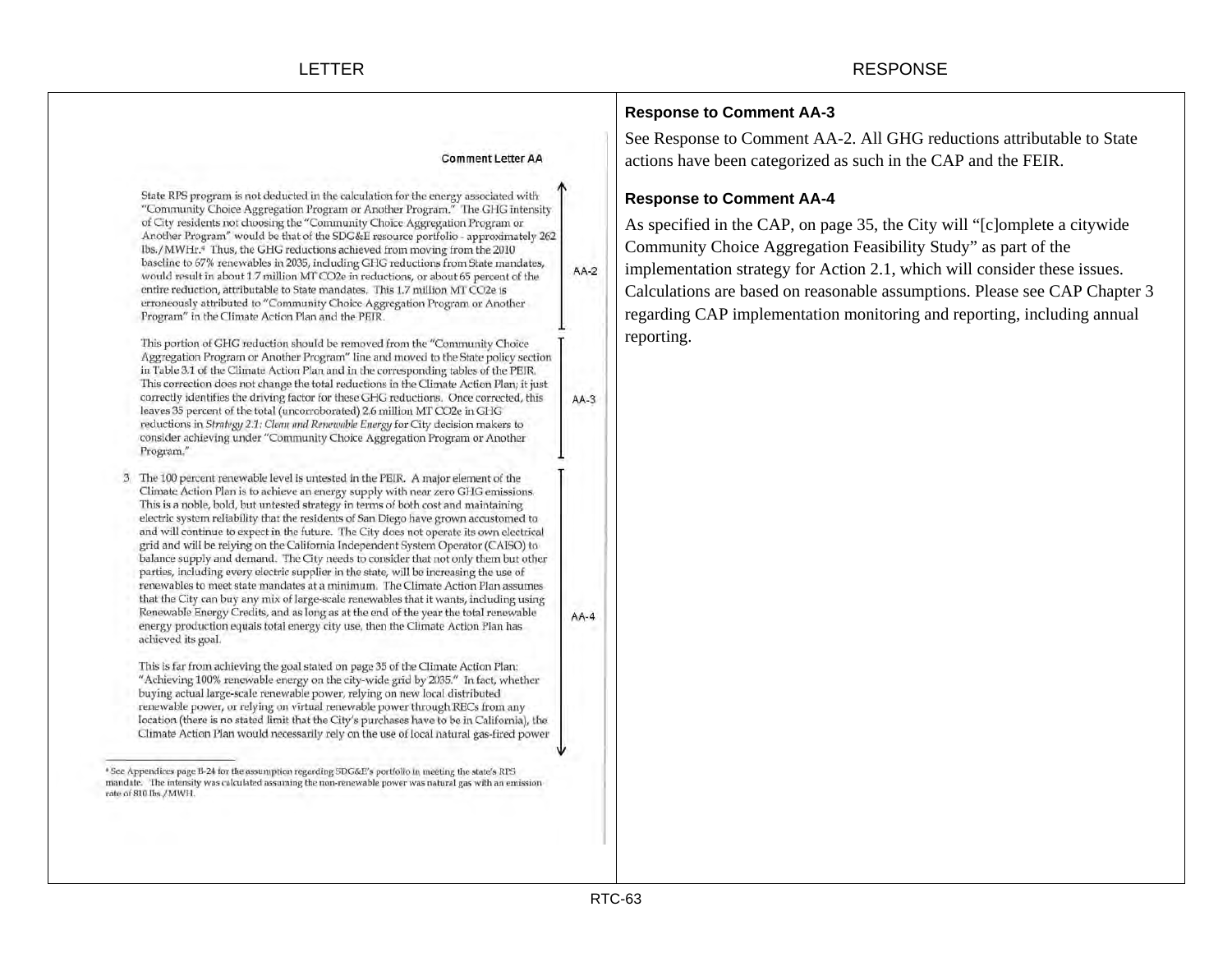State RPS program is not deducted in the calculation for the energy associated with "Community Choice Aggregation Program or Another Program." The GHG intensity of City residents not choosing the "Community Choice Aggregation Program or Another Program" would be that of the SDG&E resource portfolio - approximately 262 lbs./MWHr.4 Thus, the GHG reductions achieved from moving from the 2010 baseline to 67% renewables in 2035, including GHG reductions from State mandates,  $AA-2$ would result in about 1.7 million MT CO2e in reductions, or about 65 percent of the entire reduction, attributable to State mandates. This 1.7 million MT CO2e is erroneously attributed to "Community Choice Aggregation Program or Another Program" in the Climate Action Plan and the PEIR.

This portion of GHG reduction should be removed from the "Community Choice Aggregation Program or Another Program" line and moved to the State policy section in Table 3.1 of the Climate Action Plan and in the corresponding tables of the PEIR. This correction does not change the total reductions in the Climate Action Plan; it just correctly identifies the driving factor for these GHG reductions. Once corrected, this  $AA-3$ leaves 35 percent of the total (uncorroborated) 2.6 million MT CO2e in GHG reductions in Strategy 2.1: Clean and Renewable Energy for City decision makers to consider achieving under "Community Choice Aggregation Program or Another Program."

3. The 100 percent renewable level is untested in the PEIR. A major element of the Climate Action Plan is to achieve an energy supply with near zero GHG emissions. This is a noble, bold, but untested strategy in terms of both cost and maintaining electric system reliability that the residents of San Diego have grown accustomed to and will continue to expect in the future. The City does not operate its own electrical grid and will be relying on the California Independent System Operator (CAISO) to balance supply and demand. The City needs to consider that not only them but other parties, including every electric supplier in the state, will be increasing the use of renewables to meet state mandates at a minimum. The Climate Action Plan assumes that the City can buy any mix of large-scale renewables that it wants, including using Renewable Energy Credits, and as long as at the end of the year the total renewable energy production equals total energy city use, then the Climate Action Plan has achieved its goal.

This is far from achieving the goal stated on page 35 of the Climate Action Plan: "Achieving 100% renewable energy on the city-wide grid by 2035." In fact, whether buying actual large-scale renewable power, relying on new local distributed renewable power, or relying on virtual renewable power through RECs from any location (there is no stated limit that the City's purchases have to be in California), the Climate Action Plan would necessarily rely on the use of local natural gas-fired power

## **Response to Comment AA-3**

See Response to Comment AA-2. All GHG reductions attributable to State actions have been categorized as such in the CAP and the FEIR.

# **Response to Comment AA-4**

As specified in the CAP, on page 35, the City will "[c]omplete a citywide Community Choice Aggregation Feasibility Study" as part of the implementation strategy for Action 2.1, which will consider these issues. Calculations are based on reasonable assumptions. Please see CAP Chapter 3 regarding CAP implementation monitoring and reporting, including annual reporting.

 $AA-4$ 

<sup>\*</sup> See Appendices page B-24 for the assumption regarding SDG&E's portfolio in meeting the state's RPS mandate. The intensity was calculated assuming the non-renewable power was natural gas with an emission rate of 810 lbs./MWH.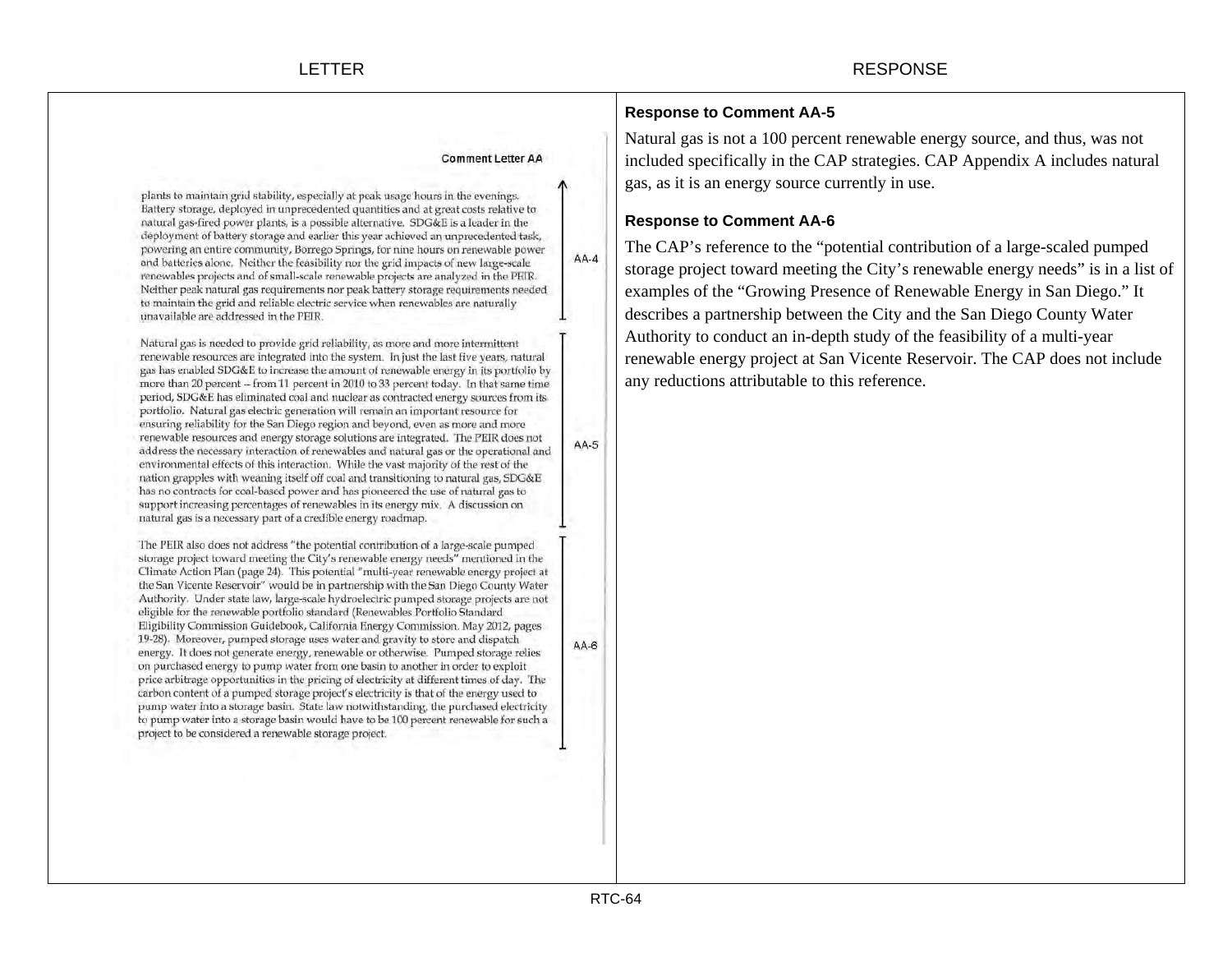plants to maintain grid stability, especially at peak usage hours in the evenings. Battery storage, deployed in unprecedented quantities and at great costs relative to natural gas-fired power plants, is a possible alternative. SDG&E is a leader in the deployment of battery storage and earlier this year achieved an unprecedented task, powering an entire community, Borrego Springs, for nine hours on renewable power and batteries alone. Neither the feasibility nor the grid impacts of new large-scale renewables projects and of small-scale renewable projects are analyzed in the PEIR. Neither peak natural gas requirements nor peak battery storage requirements needed to maintain the grid and reliable electric service when renewables are naturally unavailable are addressed in the PEIR.

Natural gas is needed to provide grid reliability, as more and more intermittent renewable resources are integrated into the system. In just the last five years, natural gas has enabled SDG&E to increase the amount of renewable energy in its portfolio by more than 20 percent -- from 11 percent in 2010 to 33 percent today. In that same time period, SDG&E has eliminated coal and nuclear as contracted energy sources from its portfolio. Natural gas electric generation will remain an important resource for ensuring reliability for the San Diego region and beyond, even as more and more renewable resources and energy storage solutions are integrated. The PEIR does not address the necessary interaction of renewables and natural gas or the operational and environmental effects of this interaction. While the vast majority of the rest of the nation grapples with weaning itself off coal and transitioning to natural gas, SDG&E has no contracts for coal-based power and has pioneered the use of natural gas to support increasing percentages of renewables in its energy mix. A discussion on natural gas is a necessary part of a credible energy roadmap.

The PEIR also does not address "the potential contribution of a large-scale pumped storage project toward meeting the City's renewable energy needs" mentioned in the Climate Action Plan (page 24). This potential "multi-year renewable energy project at the San Vicente Reservoir" would be in partnership with the San Diego County Water Authority. Under state law, large-scale hydroelectric pumped storage projects are not eligible for the renewable portfolio standard (Renewables Portfolio Standard Eligibility Commission Guidebook, California Energy Commission. May 2012, pages 19-28). Moreover, pumped storage uses water and gravity to store and dispatch energy. It does not generate energy, renewable or otherwise. Pumped storage relies on purchased energy to pump water from one basin to another in order to exploit price arbitrage opportunities in the pricing of electricity at different times of day. The carbon content of a pumped storage project's electricity is that of the energy used to pump water into a storage basin. State law notwithstanding, the purchased electricity to pump water into a storage basin would have to be 100 percent renewable for such a project to be considered a renewable storage project.

# **Response to Comment AA-5**

Natural gas is not a 100 percent renewable energy source, and thus, was not included specifically in the CAP strategies. CAP Appendix A includes natural gas, as it is an energy source currently in use.

# **Response to Comment AA-6**

The CAP's reference to the "potential contribution of a large-scaled pumped storage project toward meeting the City's renewable energy needs" is in a list of examples of the "Growing Presence of Renewable Energy in San Diego." It describes a partnership between the City and the San Diego County Water Authority to conduct an in-depth study of the feasibility of a multi-year renewable energy project at San Vicente Reservoir. The CAP does not include any reductions attributable to this reference.

 $AA-6$ 

 $AA-4$ 

 $AA-5$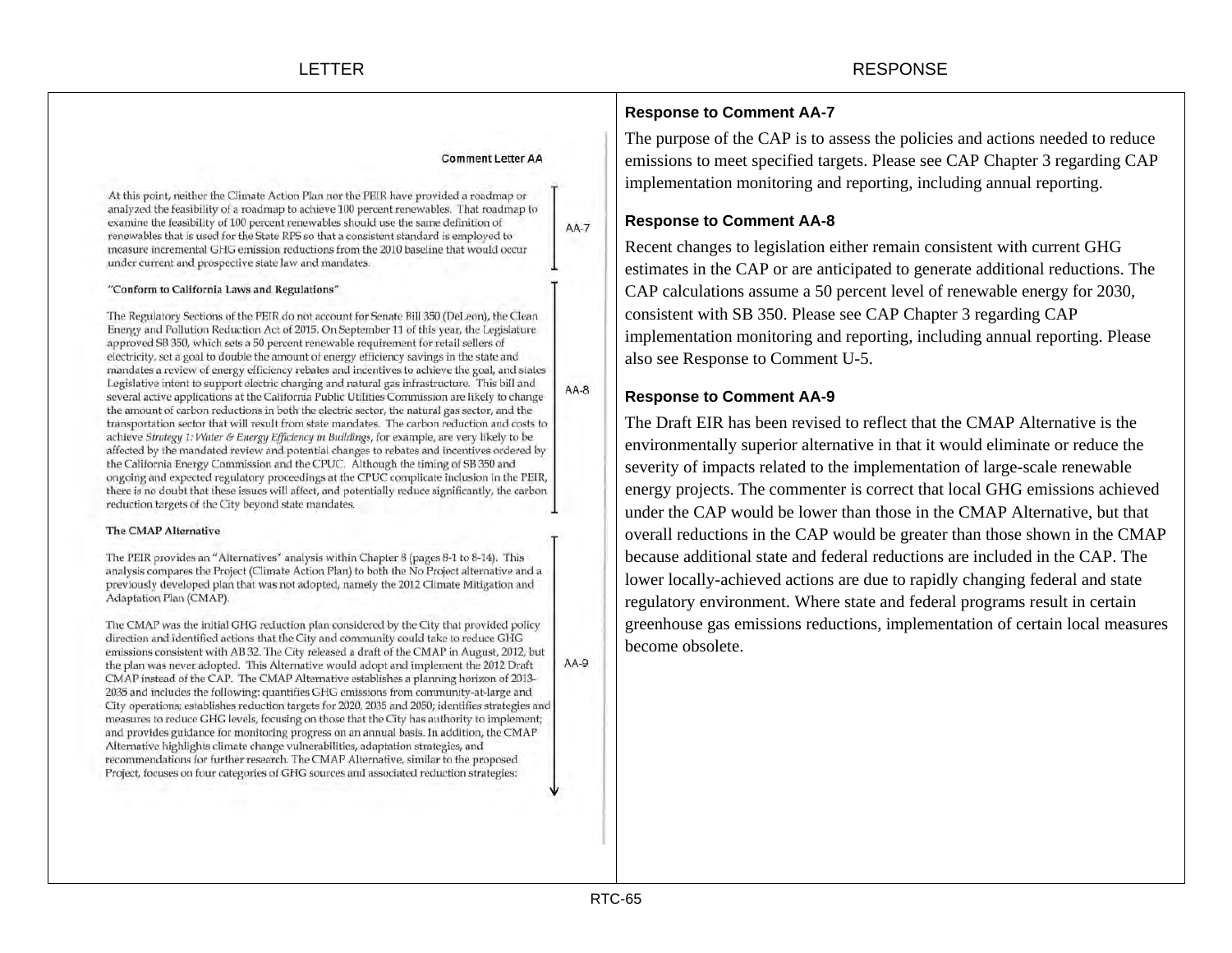|                                                                                                                                                                                                                                                                                                                                                                                                                                                                                                                                                                                                                                                                                                                                                                                                                                                                                                                                                                                                                                                                                                                                                                                                                                                                                                                                                                                                                                  |             | <b>Response to Comment AA-7</b>                                                                                                                                                                                                                                                                                                                                                                                                      |
|----------------------------------------------------------------------------------------------------------------------------------------------------------------------------------------------------------------------------------------------------------------------------------------------------------------------------------------------------------------------------------------------------------------------------------------------------------------------------------------------------------------------------------------------------------------------------------------------------------------------------------------------------------------------------------------------------------------------------------------------------------------------------------------------------------------------------------------------------------------------------------------------------------------------------------------------------------------------------------------------------------------------------------------------------------------------------------------------------------------------------------------------------------------------------------------------------------------------------------------------------------------------------------------------------------------------------------------------------------------------------------------------------------------------------------|-------------|--------------------------------------------------------------------------------------------------------------------------------------------------------------------------------------------------------------------------------------------------------------------------------------------------------------------------------------------------------------------------------------------------------------------------------------|
| <b>Comment Letter AA</b><br>At this point, neither the Climate Action Plan nor the PEIR have provided a roadmap or<br>analyzed the feasibility of a roadmap to achieve 100 percent renewables. That roadmap to<br>examine the feasibility of 100 percent renewables should use the same definition of<br>renewables that is used for the State RPS so that a consistent standard is employed to<br>measure incremental GHG emission reductions from the 2010 baseline that would occur<br>under current and prospective state law and mandates.                                                                                                                                                                                                                                                                                                                                                                                                                                                                                                                                                                                                                                                                                                                                                                                                                                                                                  | <b>AA-7</b> | The purpose of the CAP is to assess the policies and actions needed to reduce<br>emissions to meet specified targets. Please see CAP Chapter 3 regarding CAI<br>implementation monitoring and reporting, including annual reporting.<br><b>Response to Comment AA-8</b><br>Recent changes to legislation either remain consistent with current GHG<br>estimates in the CAP or are anticipated to generate additional reductions. The |
| "Conform to California Laws and Regulations"                                                                                                                                                                                                                                                                                                                                                                                                                                                                                                                                                                                                                                                                                                                                                                                                                                                                                                                                                                                                                                                                                                                                                                                                                                                                                                                                                                                     |             | CAP calculations assume a 50 percent level of renewable energy for 2030,                                                                                                                                                                                                                                                                                                                                                             |
| The Regulatory Sections of the PEIR do not account for Senate Bill 350 (DeLeon), the Clean<br>Energy and Pollution Reduction Act of 2015. On September 11 of this year, the Legislature<br>approved SB 350, which sets a 50 percent renewable requirement for retail sellers of<br>electricity, set a goal to double the amount of energy efficiency savings in the state and<br>mandates a review of energy efficiency rebates and incentives to achieve the goal, and states<br>Legislative intent to support electric charging and natural gas infrastructure. This bill and<br>several active applications at the California Public Utilities Commission are likely to change<br>the amount of carbon reductions in both the electric sector, the natural gas sector, and the<br>transportation sector that will result from state mandates. The carbon reduction and costs to<br>achieve Strategy 1: Water & Energy Efficiency in Buildings, for example, are very likely to be<br>affected by the mandated review and potential changes to rebates and incentives ordered by<br>the California Energy Commission and the CPUC. Although the timing of SB 350 and<br>ongoing and expected regulatory proceedings at the CPUC complicate inclusion in the PEIR,<br>there is no doubt that these issues will affect, and potentially reduce significantly, the carbon<br>reduction targets of the City beyond state mandates. |             | consistent with SB 350. Please see CAP Chapter 3 regarding CAP<br>implementation monitoring and reporting, including annual reporting. Please<br>also see Response to Comment U-5.                                                                                                                                                                                                                                                   |
|                                                                                                                                                                                                                                                                                                                                                                                                                                                                                                                                                                                                                                                                                                                                                                                                                                                                                                                                                                                                                                                                                                                                                                                                                                                                                                                                                                                                                                  | $AA-8$      | <b>Response to Comment AA-9</b>                                                                                                                                                                                                                                                                                                                                                                                                      |
|                                                                                                                                                                                                                                                                                                                                                                                                                                                                                                                                                                                                                                                                                                                                                                                                                                                                                                                                                                                                                                                                                                                                                                                                                                                                                                                                                                                                                                  |             | The Draft EIR has been revised to reflect that the CMAP Alternative is the<br>environmentally superior alternative in that it would eliminate or reduce the<br>severity of impacts related to the implementation of large-scale renewable<br>energy projects. The commenter is correct that local GHG emissions achieved<br>under the CAP would be lower than those in the CMAP Alternative, but that                                |
| The CMAP Alternative                                                                                                                                                                                                                                                                                                                                                                                                                                                                                                                                                                                                                                                                                                                                                                                                                                                                                                                                                                                                                                                                                                                                                                                                                                                                                                                                                                                                             |             | overall reductions in the CAP would be greater than those shown in the CMA                                                                                                                                                                                                                                                                                                                                                           |
| The PEIR provides an "Alternatives" analysis within Chapter 8 (pages 8-1 to 8-14). This                                                                                                                                                                                                                                                                                                                                                                                                                                                                                                                                                                                                                                                                                                                                                                                                                                                                                                                                                                                                                                                                                                                                                                                                                                                                                                                                          |             | because additional state and federal reductions are included in the CAP. The                                                                                                                                                                                                                                                                                                                                                         |

The PEIR analysis compares the Project (Climate Action Plan) to both the No Project alternative and a previously developed plan that was not adopted, namely the 2012 Climate Mitigation and Adaptation Plan (CMAP).

The CMAP was the initial GHG reduction plan considered by the City that provided policy direction and identified actions that the City and community could take to reduce GHG emissions consistent with AB 32. The City released a draft of the CMAP in August, 2012, but  $AA-9$ the plan was never adopted. This Alternative would adopt and implement the 2012 Draft CMAP instead of the CAP. The CMAP Alternative establishes a planning horizon of 2013-2035 and includes the following: quantifies GHG emissions from community-at-large and City operations; establishes reduction targets for 2020, 2035 and 2050; identifies strategies and measures to reduce GHG levels, focusing on those that the City has authority to implement; and provides guidance for monitoring progress on an annual basis. In addition, the CMAP Alternative highlights climate change vulnerabilities, adaptation strategies, and recommendations for further research. The CMAP Alternative, similar to the proposed Project, focuses on four categories of GHG sources and associated reduction strategies:

energy projects. The commenter is correct that local GHG emissions achieved overall reductions in the CAP would be greater than those shown in the CMAP lower locally-achieved actions are due to rapidly changing federal and state regulatory environment. Where state and federal programs result in certain greenhouse gas emissions reductions, implementation of certain local measures become obsolete.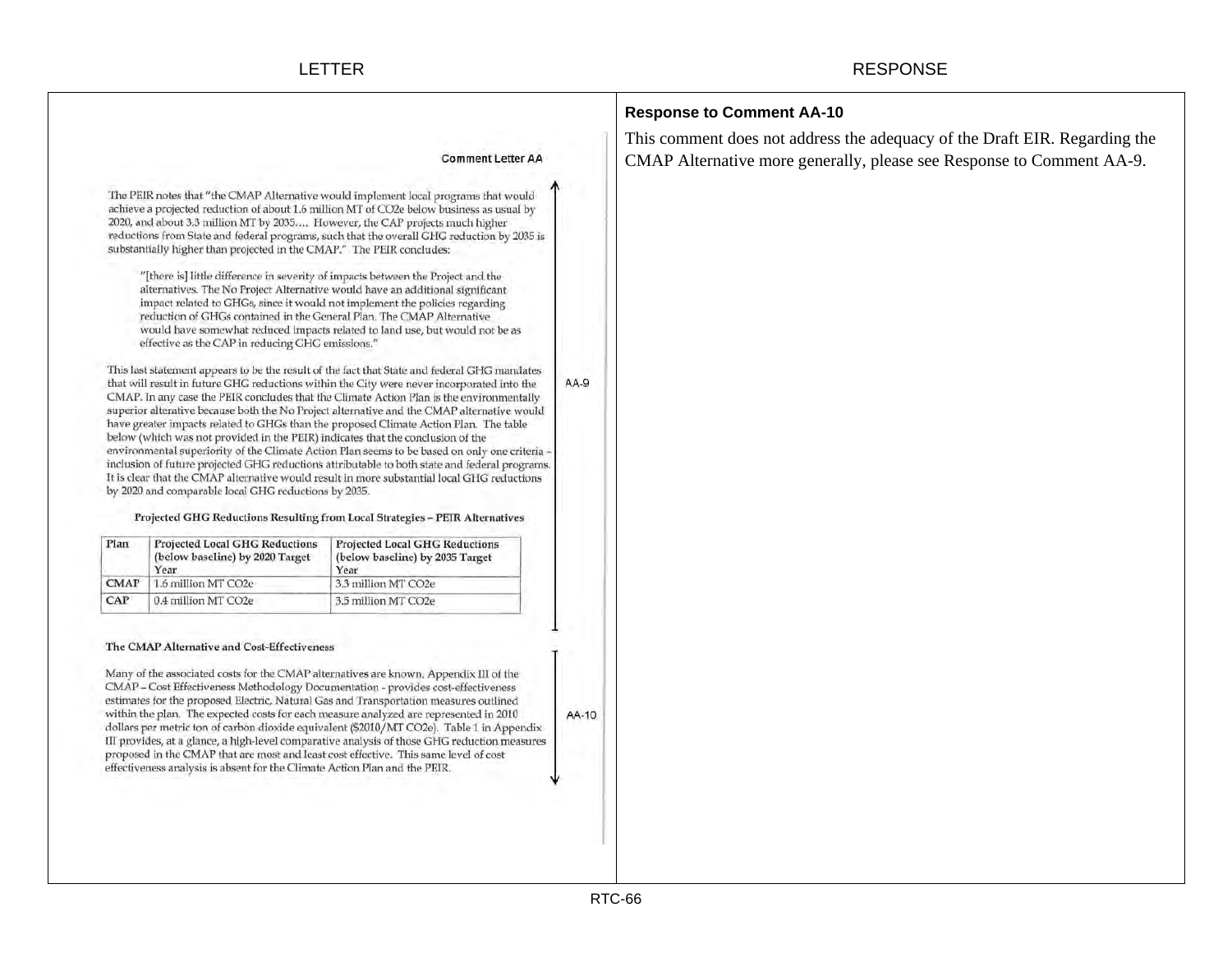|                    |                                                                                                                                                                                                                                                                                                                                                                                                                                                                                                                                                                                                                            |                                                                                                                                                                                                                                                                                                                                                                                                                                                                                                                                                                                                                                                                                                                                                                                                                                                                                                                                               |      | <b>Response to Comment AA-10</b>                                           |
|--------------------|----------------------------------------------------------------------------------------------------------------------------------------------------------------------------------------------------------------------------------------------------------------------------------------------------------------------------------------------------------------------------------------------------------------------------------------------------------------------------------------------------------------------------------------------------------------------------------------------------------------------------|-----------------------------------------------------------------------------------------------------------------------------------------------------------------------------------------------------------------------------------------------------------------------------------------------------------------------------------------------------------------------------------------------------------------------------------------------------------------------------------------------------------------------------------------------------------------------------------------------------------------------------------------------------------------------------------------------------------------------------------------------------------------------------------------------------------------------------------------------------------------------------------------------------------------------------------------------|------|----------------------------------------------------------------------------|
|                    |                                                                                                                                                                                                                                                                                                                                                                                                                                                                                                                                                                                                                            |                                                                                                                                                                                                                                                                                                                                                                                                                                                                                                                                                                                                                                                                                                                                                                                                                                                                                                                                               |      | This comment does not address the adequacy of the Draft EIR. Regarding the |
|                    |                                                                                                                                                                                                                                                                                                                                                                                                                                                                                                                                                                                                                            | <b>Comment Letter AA</b>                                                                                                                                                                                                                                                                                                                                                                                                                                                                                                                                                                                                                                                                                                                                                                                                                                                                                                                      |      | CMAP Alternative more generally, please see Response to Comment AA-9.      |
|                    | 2020, and about 3.3 million MT by 2035, However, the CAP projects much higher<br>substantially higher than projected in the CMAP." The PEIR concludes:<br>"[there is] little difference in severity of impacts between the Project and the<br>alternatives. The No Project Alternative would have an additional significant<br>impact related to GHGs, since it would not implement the policies regarding<br>reduction of GHGs contained in the General Plan. The CMAP Alternative<br>effective as the CAP in reducing GHG emissions."<br>below (which was not provided in the PEIR) indicates that the conclusion of the | The PEIR notes that "the CMAP Alternative would implement local programs that would<br>achieve a projected reduction of about 1.6 million MT of CO2e below business as usual by<br>reductions from State and federal programs, such that the overall GHG reduction by 2035 is<br>would have somewhat reduced impacts related to land use, but would not be as<br>This last statement appears to be the result of the fact that State and federal GHG mandates<br>that will result in future GHG reductions within the City were never incorporated into the<br>CMAP. In any case the PEIR concludes that the Climate Action Plan is the environmentally<br>superior alterative because both the No Project alternative and the CMAP alternative would<br>have greater impacts related to GHGs than the proposed Climate Action Plan. The table<br>environmental superiority of the Climate Action Plan seems to be based on only one criteria | AA-9 |                                                                            |
| Plan               | by 2020 and comparable local GHG reductions by 2035.<br><b>Projected Local GHG Reductions</b><br>(below baseline) by 2020 Target                                                                                                                                                                                                                                                                                                                                                                                                                                                                                           | inclusion of future projected GHG reductions attributable to both state and federal programs<br>It is clear that the CMAP alternative would result in more substantial local GHG reductions<br>Projected GHG Reductions Resulting from Local Strategies - PEIR Alternatives<br><b>Projected Local GHG Reductions</b><br>(below baseline) by 2035 Target                                                                                                                                                                                                                                                                                                                                                                                                                                                                                                                                                                                       |      |                                                                            |
|                    |                                                                                                                                                                                                                                                                                                                                                                                                                                                                                                                                                                                                                            |                                                                                                                                                                                                                                                                                                                                                                                                                                                                                                                                                                                                                                                                                                                                                                                                                                                                                                                                               |      |                                                                            |
|                    | Year                                                                                                                                                                                                                                                                                                                                                                                                                                                                                                                                                                                                                       | Year                                                                                                                                                                                                                                                                                                                                                                                                                                                                                                                                                                                                                                                                                                                                                                                                                                                                                                                                          |      |                                                                            |
| <b>CMAP</b><br>CAP | 1.6 million MT CO2e<br>0.4 million MT CO2e                                                                                                                                                                                                                                                                                                                                                                                                                                                                                                                                                                                 | 3.3 million MT CO2e<br>3.5 million MT CO2e                                                                                                                                                                                                                                                                                                                                                                                                                                                                                                                                                                                                                                                                                                                                                                                                                                                                                                    |      |                                                                            |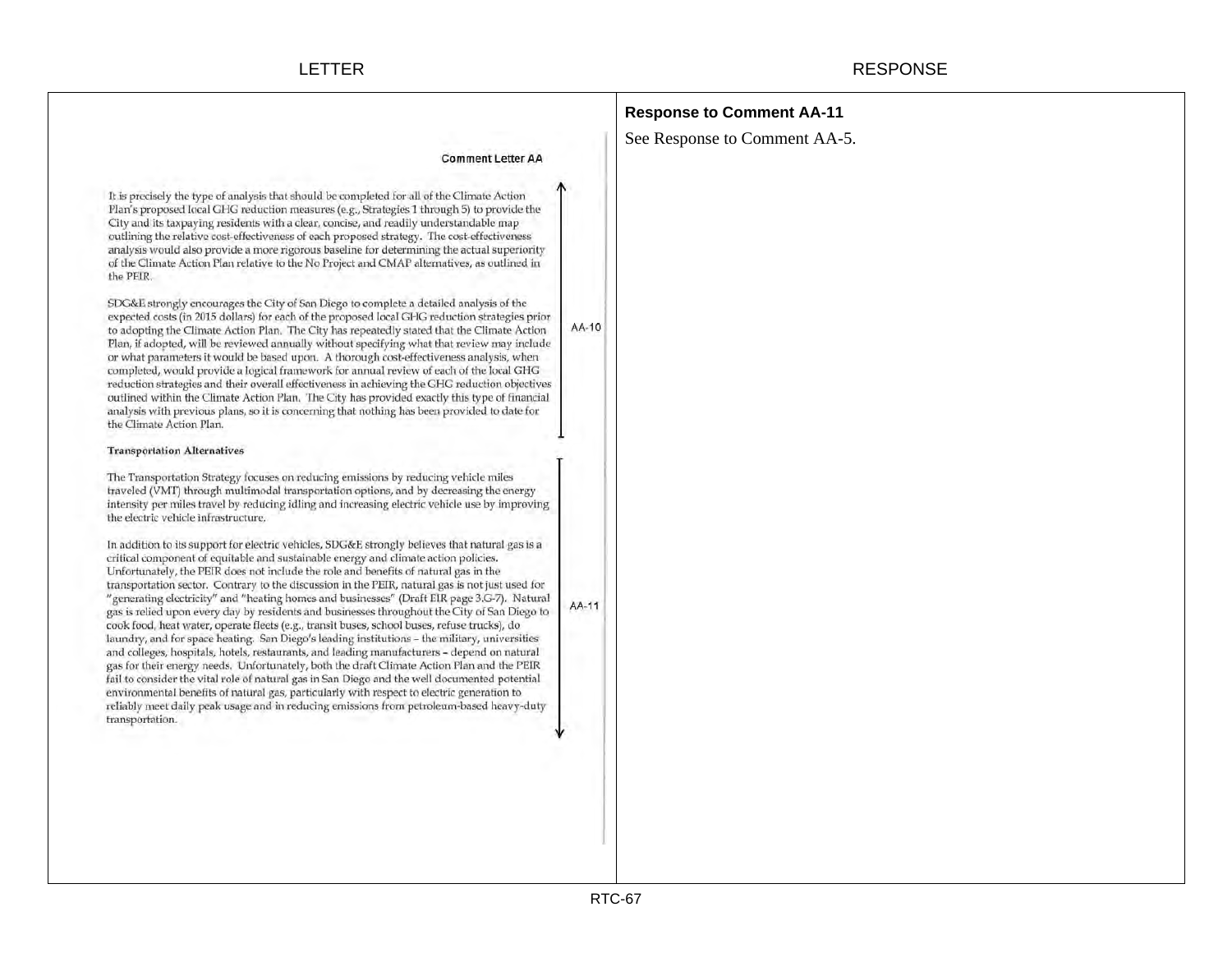|                                                                                                                                                                                                                                                                                                                                                                                                                                                                                                                                                                                                                                                                                                                                                                                                                                                                                                                                                                                                                                                                                                                                                                                                                                                                                                                                                                                                                                                                                                                                                                                                                                                                                                                                                                                                                                                                                                                                                                                                                                                                                                                                                                                                                                                                                                                                                                                                                                                                                                                                                                                                                                                                                                                                                                                                                                                                                                                                                                                                                                                                                                                                                                                                          | <b>Response to Comment AA-11</b> |
|----------------------------------------------------------------------------------------------------------------------------------------------------------------------------------------------------------------------------------------------------------------------------------------------------------------------------------------------------------------------------------------------------------------------------------------------------------------------------------------------------------------------------------------------------------------------------------------------------------------------------------------------------------------------------------------------------------------------------------------------------------------------------------------------------------------------------------------------------------------------------------------------------------------------------------------------------------------------------------------------------------------------------------------------------------------------------------------------------------------------------------------------------------------------------------------------------------------------------------------------------------------------------------------------------------------------------------------------------------------------------------------------------------------------------------------------------------------------------------------------------------------------------------------------------------------------------------------------------------------------------------------------------------------------------------------------------------------------------------------------------------------------------------------------------------------------------------------------------------------------------------------------------------------------------------------------------------------------------------------------------------------------------------------------------------------------------------------------------------------------------------------------------------------------------------------------------------------------------------------------------------------------------------------------------------------------------------------------------------------------------------------------------------------------------------------------------------------------------------------------------------------------------------------------------------------------------------------------------------------------------------------------------------------------------------------------------------------------------------------------------------------------------------------------------------------------------------------------------------------------------------------------------------------------------------------------------------------------------------------------------------------------------------------------------------------------------------------------------------------------------------------------------------------------------------------------------------|----------------------------------|
|                                                                                                                                                                                                                                                                                                                                                                                                                                                                                                                                                                                                                                                                                                                                                                                                                                                                                                                                                                                                                                                                                                                                                                                                                                                                                                                                                                                                                                                                                                                                                                                                                                                                                                                                                                                                                                                                                                                                                                                                                                                                                                                                                                                                                                                                                                                                                                                                                                                                                                                                                                                                                                                                                                                                                                                                                                                                                                                                                                                                                                                                                                                                                                                                          | See Response to Comment AA-5.    |
| <b>Comment Letter AA</b><br>It is precisely the type of analysis that should be completed for all of the Climate Action<br>Plan's proposed local GHG reduction measures (e.g., Strategies 1 through 5) to provide the<br>City and its taxpaying residents with a clear, concise, and readily understandable map<br>outlining the relative cost-effectiveness of each proposed strategy. The cost-effectiveness<br>analysis would also provide a more rigorous baseline for determining the actual superiority<br>of the Climate Action Plan relative to the No Project and CMAP alternatives, as outlined in<br>the PEIR.<br>SDG&E strongly encourages the City of San Diego to complete a detailed analysis of the<br>expected costs (in 2015 dollars) for each of the proposed local GHG reduction strategies prior<br>to adopting the Climate Action Plan. The City has repeatedly stated that the Climate Action<br>Plan, if adopted, will be reviewed annually without specifying what that review may include<br>or what parameters it would be based upon. A thorough cost-effectiveness analysis, when<br>completed, would provide a logical framework for annual review of each of the local GHG<br>reduction strategies and their overall effectiveness in achieving the GHG reduction objectives<br>outlined within the Climate Action Plan. The City has provided exactly this type of financial<br>analysis with previous plans, so it is concerning that nothing has been provided to date for<br>the Climate Action Plan.<br><b>Transportation Alternatives</b><br>The Transportation Strategy focuses on reducing emissions by reducing vehicle miles<br>traveled (VMT) through multimodal transportation options, and by decreasing the energy<br>intensity per miles travel by reducing idling and increasing electric vehicle use by improving<br>the electric vehicle infrastructure.<br>In addition to its support for electric vehicles, SDG&E strongly believes that natural gas is a<br>critical component of equitable and sustainable energy and climate action policies.<br>Unfortunately, the PEIR does not include the role and benefits of natural gas in the<br>transportation sector. Contrary to the discussion in the PEIR, natural gas is not just used for<br>generating electricity" and "heating homes and businesses" (Draft EIR page 3.G-7). Natural<br>gas is relied upon every day by residents and businesses throughout the City of San Diego to<br>cook food, heat water, operate fleets (e.g., transit buses, school buses, refuse trucks), do<br>laundry, and for space heating. San Diego's leading institutions - the military, universities<br>and colleges, hospitals, hotels, restaurants, and leading manufacturers - depend on natural<br>gas for their energy needs. Unfortunately, both the draft Climate Action Plan and the PEIR<br>fail to consider the vital role of natural gas in San Diego and the well documented potential<br>environmental benefits of natural gas, particularly with respect to electric generation to<br>reliably meet daily peak usage and in reducing emissions from petroleum-based heavy-duty<br>transportation. | AA-10<br>AA-11                   |
|                                                                                                                                                                                                                                                                                                                                                                                                                                                                                                                                                                                                                                                                                                                                                                                                                                                                                                                                                                                                                                                                                                                                                                                                                                                                                                                                                                                                                                                                                                                                                                                                                                                                                                                                                                                                                                                                                                                                                                                                                                                                                                                                                                                                                                                                                                                                                                                                                                                                                                                                                                                                                                                                                                                                                                                                                                                                                                                                                                                                                                                                                                                                                                                                          |                                  |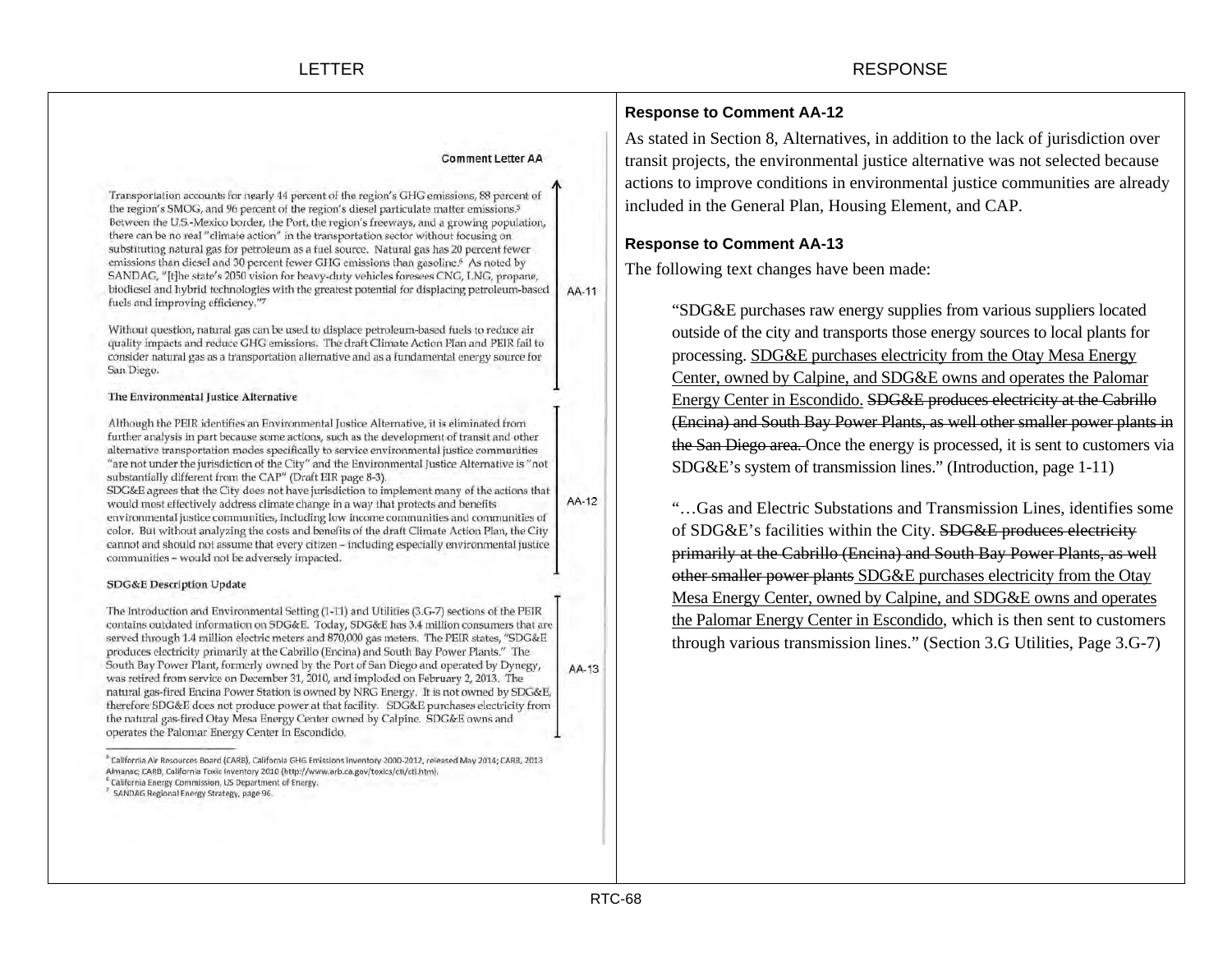Transportation accounts for nearly 44 percent of the region's GHG emissions, 88 percent of the region's SMOG, and 96 percent of the region's diesel particulate matter emissions.<sup>5</sup> Between the U.S.-Mexico border, the Port, the region's freeways, and a growing population, there can be no real "climate action" in the transportation sector without focusing on substituting natural gas for petroleum as a fuel source. Natural gas has 20 percent fewer emissions than diesel and 30 percent fewer GHG emissions than gasoline.<sup>6</sup> As noted by SANDAG, "[t]he state's 2050 vision for heavy-duty vehicles foresees CNG, LNG, propane, biodiesel and hybrid technologies with the greatest potential for displacing petroleum-based AA-11 fuels and improving efficiency."7

Without question, natural gas can be used to displace petroleum-based fuels to reduce air quality impacts and reduce GHG emissions. The draft Climate Action Plan and PEIR fail to consider natural gas as a transportation alternative and as a fundamental energy source for San Diego.

#### The Environmental Justice Alternative

Although the PEIR identifies an Environmental Justice Alternative, it is eliminated from further analysis in part because some actions, such as the development of transit and other alternative transportation modes specifically to service environmental justice communities "are not under the jurisdiction of the City" and the Environmental Justice Alternative is "not substantially different from the CAP" (Draft EIR page 8-3).

SDG&E agrees that the City does not have jurisdiction to implement many of the actions that AA-12 would most effectively address climate change in a way that protects and benefits environmental justice communities, including low income communities and communities of color. But without analyzing the costs and benefits of the draft Climate Action Plan, the City cannot and should not assume that every citizen - including especially environmental justice communities - would not be adversely impacted.

#### **SDG&E Description Update**

The Introduction and Environmental Setting (1-11) and Utilities (3.G-7) sections of the PEIR contains outdated information on SDG&E. Today, SDG&E has 3.4 million consumers that are served through 1.4 million electric meters and 870,000 gas meters. The PEIR states, "SDG&E produces electricity primarily at the Cabrillo (Encina) and South Bay Power Plants." The South Bay Power Plant, formerly owned by the Port of San Diego and operated by Dynegy, was retired from service on December 31, 2010, and imploded on February 2, 2013. The natural gas-fired Encina Power Station is owned by NRG Energy. It is not owned by SDG&E, therefore SDG&E does not produce power at that facility. SDG&E purchases electricity from the natural gas-fired Otay Mesa Energy Center owned by Calpine. SDG&E owns and operates the Palomar Energy Center in Escondido.

<sup>5</sup> California Air Resources Board (CARB), California GHG Emissions Inventory 2000-2012, released May 2014; CARB, 2013 Almanac; CARB, California Toxic Inventory 2010 (http://www.arb.ca.gov/toxics/cti/cti.htm).

<sup>6</sup> California Energy Commission, US Department of Energy.

## **Response to Comment AA-12**

As stated in Section 8, Alternatives, in addition to the lack of jurisdiction over transit projects, the environmental justice alternative was not selected because actions to improve conditions in environmental justice communities are already included in the General Plan, Housing Element, and CAP.

## **Response to Comment AA-13**

The following text changes have been made:

"SDG&E purchases raw energy supplies from various suppliers located outside of the city and transports those energy sources to local plants for processing. SDG&E purchases electricity from the Otay Mesa Energy Center, owned by Calpine, and SDG&E owns and operates the Palomar Energy Center in Escondido. SDG&E produces electricity at the Cabrillo (Encina) and South Bay Power Plants, as well other smaller power plants in the San Diego area. Once the energy is processed, it is sent to customers via SDG&E's system of transmission lines." (Introduction, page 1-11)

"…Gas and Electric Substations and Transmission Lines, identifies some of SDG&E's facilities within the City. SDG&E produces electricity primarily at the Cabrillo (Encina) and South Bay Power Plants, as well other smaller power plants SDG&E purchases electricity from the Otay Mesa Energy Center, owned by Calpine, and SDG&E owns and operates the Palomar Energy Center in Escondido, which is then sent to customers through various transmission lines." (Section 3.G Utilities, Page 3.G-7)

AA-13

SANDAG Regional Energy Strategy, page 96.